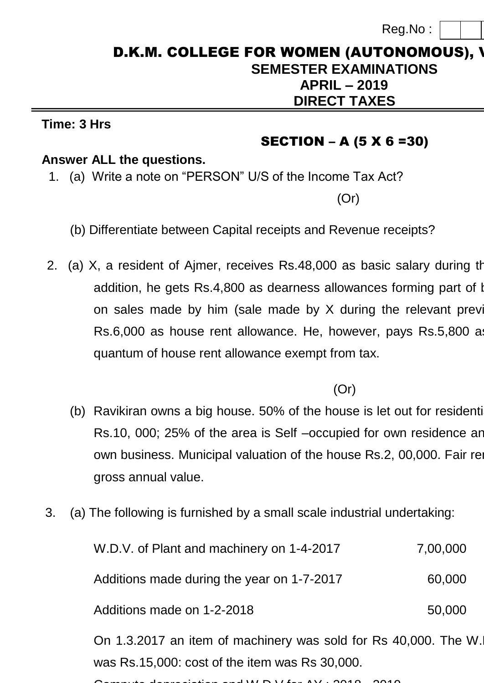Reg.No :

# D.K.M. COLLEGE FOR WOMEN (AUTONOMOUS), V **SEMESTER EXAMINATIONS APRIL – 2019 15CPCO4A DIRECT TAXES**

#### **Time: 3 Hrs Max. Marks: 75**

## SECTION – A (5 X 6 =30)

### **Answer ALL the questions.**

1. (a) Write a note on "PERSON" U/S of the Income Tax Act?

(Or)

- (b) Differentiate between Capital receipts and Revenue receipts?
- 2. (a) X, a resident of Ajmer, receives Rs.48,000 as basic salary during the previous year 2017-18. In previous  $\mu$ addition, he gets Rs.4,800 as dearness allowances forming part of bases on sales made by him (sale made by  $X$  during the relevant previous Rs.6,000 as house rent allowance. He, however, pays Rs.5,800 as quantum of house rent allowance exempt from tax.

(Or)

- (b) Ravikiran owns a big house. 50% of the house is let out for residenti Rs.10, 000; 25% of the area is Self –occupied for own residence and remaining 25% of the area is Self –occupied for own residence and own business. Municipal valuation of the house Rs.2, 00,000. Fair rent its Rs.2, 00,000. Fair rent its Rs. gross annual value.
- 3. (a) The following is furnished by a small scale industrial undertaking:

| W.D.V. of Plant and machinery on 1-4-2017                       | 7,00,000 |  |
|-----------------------------------------------------------------|----------|--|
| Additions made during the year on 1-7-2017                      | 60,000   |  |
| Additions made on 1-2-2018                                      | 50,000   |  |
| On 1.3.2017 an item of machinery was sold for Rs 40,000. The W. |          |  |

was Rs.15,000: cost of the item was Rs 30,000.

Compute depreciation and W.D.V for AY : 2018 - 2019.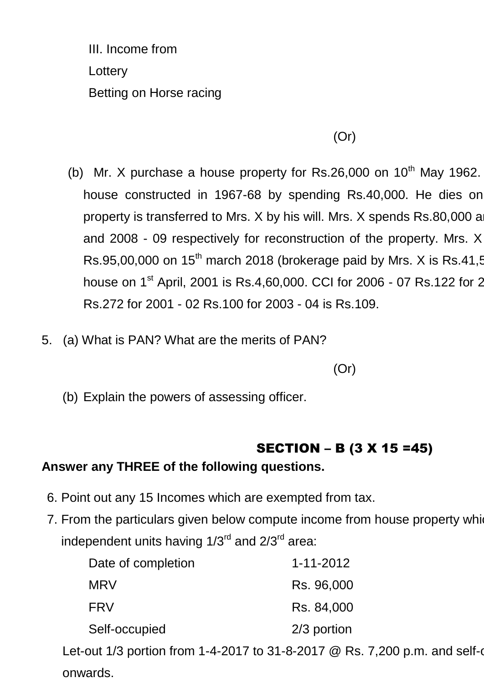III. Income from Lottery **1,8000 and 1,8000 and 1,8000 and 1,8000 and 1,8000 and 1,8000 and 1,8000 and 1,8000 and 1,8000 and 1,800** Betting on Horse racing

(Or)

- (b) Mr. X purchase a house property for Rs.26,000 on  $10^{th}$  May 1962. house constructed in 1967-68 by spending Rs.40,000. He dies on property is transferred to Mrs. X by his will. Mrs. X spends Rs.80,000 and Rs.26,000 during 2006-07 and 2008 - 09 respectively for reconstruction of the property. Mrs. X Rs.95,00,000 on  $15<sup>th</sup>$  march 2018 (brokerage paid by Mrs. X is Rs.41,500 house on 1<sup>st</sup> April, 2001 is Rs.4,60,000. CCI for 2006 - 07 Rs.122 for 2 Rs.272 for 2001 - 02 Rs.100 for 2003 - 04 is Rs.109.
- 5. (a) What is PAN? What are the merits of PAN?

(Or)

(b) Explain the powers of assessing officer.

## SECTION – B (3 X 15 =45)

### **Answer any THREE of the following questions.**

- 6. Point out any 15 Incomes which are exempted from tax.
- 7. From the particulars given below compute income from house property which consist of two two independent units having  $1/3^{rd}$  and  $2/3^{rd}$  area:

| $1 - 11 - 2012$ |
|-----------------|
| Rs. 96,000      |
| Rs. 84,000      |
| 2/3 portion     |
|                 |

Let-out 1/3 portion from 1-4-2017 to 31-8-2017 @ Rs. 7,200 p.m. and self-o onwards.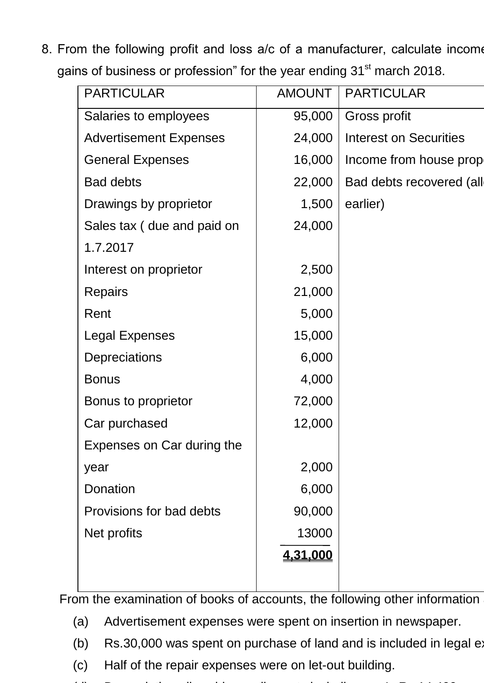8. From the following profit and loss a/c of a manufacturer, calculate income gains of business or profession" for the year ending 31<sup>st</sup> march 2018.

| <b>PARTICULAR</b>             | <b>AMOUNT</b> | <b>PARTICULAR</b>             |
|-------------------------------|---------------|-------------------------------|
| Salaries to employees         | 95,000        | Gross profit                  |
| <b>Advertisement Expenses</b> | 24,000        | <b>Interest on Securities</b> |
| <b>General Expenses</b>       | 16,000        | Income from house prop        |
| <b>Bad debts</b>              | 22,000        | Bad debts recovered (all      |
| Drawings by proprietor        | 1,500         | earlier)                      |
| Sales tax (due and paid on    | 24,000        |                               |
| 1.7.2017                      |               |                               |
| Interest on proprietor        | 2,500         |                               |
| <b>Repairs</b>                | 21,000        |                               |
| Rent                          | 5,000         |                               |
| <b>Legal Expenses</b>         | 15,000        |                               |
| <b>Depreciations</b>          | 6,000         |                               |
| <b>Bonus</b>                  | 4,000         |                               |
| Bonus to proprietor           | 72,000        |                               |
| Car purchased                 | 12,000        |                               |
| Expenses on Car during the    |               |                               |
| year                          | 2,000         |                               |
| Donation                      | 6,000         |                               |
| Provisions for bad debts      | 90,000        |                               |
| Net profits                   | 13000         |                               |
|                               | 4,31,000      |                               |
|                               |               |                               |

From the examination of books of accounts, the following other information

- (a) Advertisement expenses were spent on insertion in newspaper.
- (b)  $Rs.30,000$  was spent on purchase of land and is included in legal  $e$ .
- (c) Half of the repair expenses were on let-out building.
- (d) Depreciation allowable on all assets including car Is Rs.14,400